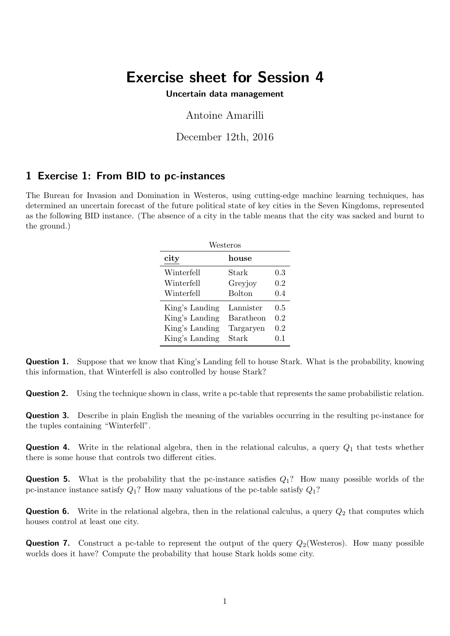## Exercise sheet for Session 4

Uncertain data management

## Antoine Amarilli

December 12th, 2016

## 1 Exercise 1: From BID to pc-instances

The Bureau for Invasion and Domination in Westeros, using cutting-edge machine learning techniques, has determined an uncertain forecast of the future political state of key cities in the Seven Kingdoms, represented as the following BID instance. (The absence of a city in the table means that the city was sacked and burnt to the ground.)

| Westeros       |               |     |  |  |
|----------------|---------------|-----|--|--|
| city           | house         |     |  |  |
| Winterfell     | Stark         | 0.3 |  |  |
| Winterfell     | Greyjoy       | 0.2 |  |  |
| Winterfell     | <b>Bolton</b> | 0.4 |  |  |
| King's Landing | Lannister     | 0.5 |  |  |
| King's Landing | Baratheon     | 0.2 |  |  |
| King's Landing | Targaryen     | 0.2 |  |  |
| King's Landing | Stark         | 0.1 |  |  |

Question 1. Suppose that we know that King's Landing fell to house Stark. What is the probability, knowing this information, that Winterfell is also controlled by house Stark?

**Question 2.** Using the technique shown in class, write a pc-table that represents the same probabilistic relation.

Question 3. Describe in plain English the meaning of the variables occurring in the resulting pc-instance for the tuples containing "Winterfell".

**Question 4.** Write in the relational algebra, then in the relational calculus, a query  $Q_1$  that tests whether there is some house that controls two different cities.

**Question 5.** What is the probability that the pc-instance satisfies  $Q_1$ ? How many possible worlds of the pc-instance instance satisfy  $Q_1$ ? How many valuations of the pc-table satisfy  $Q_1$ ?

**Question 6.** Write in the relational algebra, then in the relational calculus, a query  $Q_2$  that computes which houses control at least one city.

**Question 7.** Construct a pc-table to represent the output of the query  $Q_2$ (Westeros). How many possible worlds does it have? Compute the probability that house Stark holds some city.